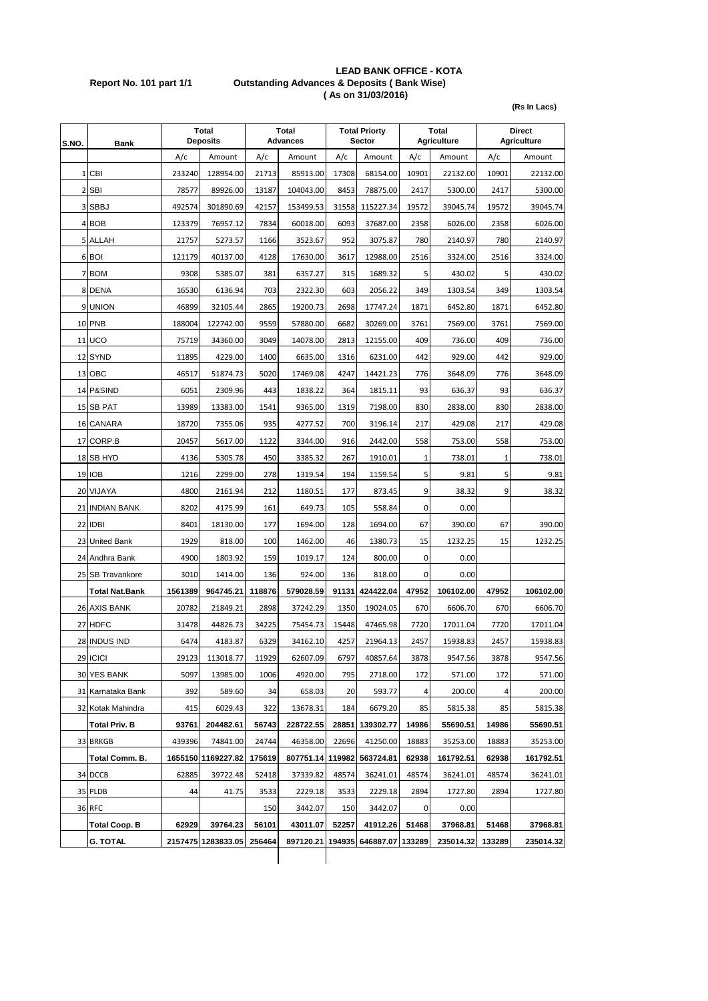## **LEAD BANK OFFICE - KOTA Report No. 101 part 1/1 Outstanding Advances & Deposits ( Bank Wise) ( As on 31/03/2016)**

**(Rs In Lacs)**

| S.NO. | Bank                  | <b>Total</b><br><b>Deposits</b> |                    | Total<br><b>Advances</b> |                  | <b>Total Priorty</b><br>Sector |                  |        | <b>Total</b><br><b>Agriculture</b> | <b>Direct</b><br><b>Agriculture</b> |           |
|-------|-----------------------|---------------------------------|--------------------|--------------------------|------------------|--------------------------------|------------------|--------|------------------------------------|-------------------------------------|-----------|
|       |                       | A/c                             | Amount             | A/c                      | Amount           | A/c                            | Amount           | A/c    | Amount                             | A/c                                 | Amount    |
|       | 1 CBI                 | 233240                          | 128954.00          | 21713                    | 85913.00         | 17308                          | 68154.00         | 10901  | 22132.00                           | 10901                               | 22132.00  |
|       | 2 SBI                 | 78577                           | 89926.00           | 13187                    | 104043.00        | 8453                           | 78875.00         | 2417   | 5300.00                            | 2417                                | 5300.00   |
|       | 3 SBBJ                | 492574                          | 301890.69          | 42157                    | 153499.53        | 31558                          | 115227.34        | 19572  | 39045.74                           | 19572                               | 39045.74  |
|       | 4 BOB                 | 123379                          | 76957.12           | 7834                     | 60018.00         | 6093                           | 37687.00         | 2358   | 6026.00                            | 2358                                | 6026.00   |
|       | 5 ALLAH               | 21757                           | 5273.57            | 1166                     | 3523.67          | 952                            | 3075.87          | 780    | 2140.97                            | 780                                 | 2140.97   |
|       | 6 BOI                 | 121179                          | 40137.00           | 4128                     | 17630.00         | 3617                           | 12988.00         | 2516   | 3324.00                            | 2516                                | 3324.00   |
|       | 7 BOM                 | 9308                            | 5385.07            | 381                      | 6357.27          | 315                            | 1689.32          | 5      | 430.02                             | 5                                   | 430.02    |
|       | 8 DENA                | 16530                           | 6136.94            | 703                      | 2322.30          | 603                            | 2056.22          | 349    | 1303.54                            | 349                                 | 1303.54   |
|       | 9 UNION               | 46899                           | 32105.44           | 2865                     | 19200.73         | 2698                           | 17747.24         | 1871   | 6452.80                            | 1871                                | 6452.80   |
|       | 10 PNB                | 188004                          | 122742.00          | 9559                     | 57880.00         | 6682                           | 30269.00         | 3761   | 7569.00                            | 3761                                | 7569.00   |
|       | <b>11 UCO</b>         | 75719                           | 34360.00           | 3049                     | 14078.00         | 2813                           | 12155.00         | 409    | 736.00                             | 409                                 | 736.00    |
|       | 12 SYND               | 11895                           | 4229.00            | 1400                     | 6635.00          | 1316                           | 6231.00          | 442    | 929.00                             | 442                                 | 929.00    |
|       | 13 OBC                | 46517                           | 51874.73           | 5020                     | 17469.08         | 4247                           | 14421.23         | 776    | 3648.09                            | 776                                 | 3648.09   |
|       | 14 P&SIND             | 6051                            | 2309.96            | 443                      | 1838.22          | 364                            | 1815.11          | 93     | 636.37                             | 93                                  | 636.37    |
|       | 15 SB PAT             | 13989                           | 13383.00           | 1541                     | 9365.00          | 1319                           | 7198.00          | 830    | 2838.00                            | 830                                 | 2838.00   |
|       | 16 CANARA             | 18720                           | 7355.06            | 935                      | 4277.52          | 700                            | 3196.14          | 217    | 429.08                             | 217                                 | 429.08    |
|       | 17 CORP.B             | 20457                           | 5617.00            | 1122                     | 3344.00          | 916                            | 2442.00          | 558    | 753.00                             | 558                                 | 753.00    |
|       | 18 SB HYD             | 4136                            | 5305.78            | 450                      | 3385.32          | 267                            | 1910.01          | 1      | 738.01                             | 1                                   | 738.01    |
|       | 19 IOB                | 1216                            | 2299.00            | 278                      | 1319.54          | 194                            | 1159.54          | 5      | 9.81                               | 5                                   | 9.81      |
|       | 20 VIJAYA             | 4800                            | 2161.94            | 212                      | 1180.51          | 177                            | 873.45           | 9      | 38.32                              | 9                                   | 38.32     |
|       | 21 INDIAN BANK        | 8202                            | 4175.99            | 161                      | 649.73           | 105                            | 558.84           | 0      | 0.00                               |                                     |           |
|       | 22 IDBI               | 8401                            | 18130.00           | 177                      | 1694.00          | 128                            | 1694.00          | 67     | 390.00                             | 67                                  | 390.00    |
|       | 23 United Bank        | 1929                            | 818.00             | 100                      | 1462.00          | 46                             | 1380.73          | 15     | 1232.25                            | 15                                  | 1232.25   |
|       | 24 Andhra Bank        | 4900                            | 1803.92            | 159                      | 1019.17          | 124                            | 800.00           | 0      | 0.00                               |                                     |           |
|       | 25 SB Travankore      | 3010                            | 1414.00            | 136                      | 924.00           | 136                            | 818.00           | 0      | 0.00                               |                                     |           |
|       | <b>Total Nat.Bank</b> | 1561389                         | 964745.21          | 118876                   | 579028.59        | 91131                          | 424422.04        | 47952  | 106102.00                          | 47952                               | 106102.00 |
|       | 26 AXIS BANK          | 20782                           | 21849.21           | 2898                     | 37242.29         | 1350                           | 19024.05         | 670    | 6606.70                            | 670                                 | 6606.70   |
|       | 27 HDFC               | 31478                           | 44826.73           | 34225                    | 75454.73         | 15448                          | 47465.98         | 7720   | 17011.04                           | 7720                                | 17011.04  |
|       | 28 INDUS IND          | 6474                            | 4183.87            | 6329                     | 34162.10         | 4257                           | 21964.13         | 2457   | 15938.83                           | 2457                                | 15938.83  |
|       | 29 ICICI              | 29123                           | 113018.77          | 11929                    | 62607.09         | 6797                           | 40857.64         | 3878   | 9547.56                            | 3878                                | 9547.56   |
|       | 30 YES BANK           | 5097                            | 13985.00           | 1006                     | 4920.00          | 795                            | 2718.00          | 172    | 571.00                             | 172                                 | 571.00    |
|       | 31 Karnataka Bank     | 392                             | 589.60             | 34                       | 658.03           | 20                             | 593.77           | 4      | 200.00                             | 4                                   | 200.00    |
|       | 32 Kotak Mahindra     | 415                             | 6029.43            | 322                      | 13678.31         | 184                            | 6679.20          | 85     | 5815.38                            | 85                                  | 5815.38   |
|       | <b>Total Priv. B</b>  | 93761                           | 204482.61          | 56743                    | 228722.55        |                                | 28851 139302.77  | 14986  | 55690.51                           | 14986                               | 55690.51  |
|       | 33 BRKGB              | 439396                          | 74841.00           | 24744                    | 46358.00         | 22696                          | 41250.00         | 18883  | 35253.00                           | 18883                               | 35253.00  |
|       | <b>Total Comm. B.</b> |                                 | 1655150 1169227.82 | 175619                   | 807751.14 119982 |                                | 563724.81        | 62938  | 161792.51                          | 62938                               | 161792.51 |
|       | 34 DCCB               | 62885                           | 39722.48           | 52418                    | 37339.82         | 48574                          | 36241.01         | 48574  | 36241.01                           | 48574                               | 36241.01  |
|       | 35 PLDB               | 44                              | 41.75              | 3533                     | 2229.18          | 3533                           | 2229.18          | 2894   | 1727.80                            | 2894                                | 1727.80   |
|       | <b>36 RFC</b>         |                                 |                    | 150                      | 3442.07          | 150                            | 3442.07          | 0      | 0.00                               |                                     |           |
|       | Total Coop. B         | 62929                           | 39764.23           | 56101                    | 43011.07         | 52257                          | 41912.26         | 51468  | 37968.81                           | 51468                               | 37968.81  |
|       | <b>G. TOTAL</b>       |                                 | 2157475 1283833.05 | 256464                   | 897120.21        |                                | 194935 646887.07 | 133289 | 235014.32                          | 133289                              | 235014.32 |
|       |                       |                                 |                    |                          |                  |                                |                  |        |                                    |                                     |           |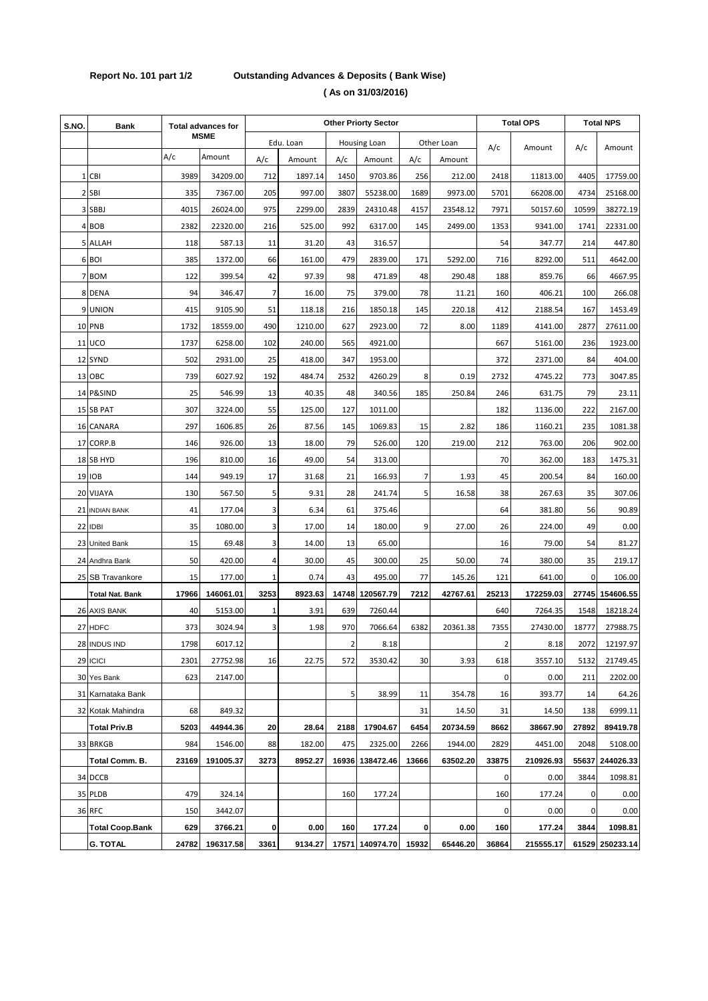## **Report No. 101 part 1/2 Outstanding Advances & Deposits ( Bank Wise) ( As on 31/03/2016)**

| S.NO. | <b>Bank</b>            | <b>Total advances for</b> |             | <b>Other Priorty Sector</b> |           |             |                     |              |            |       | <b>Total OPS</b> |             | <b>Total NPS</b> |  |
|-------|------------------------|---------------------------|-------------|-----------------------------|-----------|-------------|---------------------|--------------|------------|-------|------------------|-------------|------------------|--|
|       |                        |                           | <b>MSME</b> |                             | Edu. Loan |             | <b>Housing Loan</b> |              | Other Loan |       |                  |             |                  |  |
|       |                        | A/c                       | Amount      | A/c                         | Amount    | A/c         | Amount              | A/c          | Amount     | A/c   | Amount           | A/c         | Amount           |  |
|       | 1 CBI                  | 3989                      | 34209.00    | 712                         | 1897.14   | 1450        | 9703.86             | 256          | 212.00     | 2418  | 11813.00         | 4405        | 17759.00         |  |
|       | 2 SBI                  | 335                       | 7367.00     | 205                         | 997.00    | 3807        | 55238.00            | 1689         | 9973.00    | 5701  | 66208.00         | 4734        | 25168.00         |  |
|       | 3 SBBJ                 | 4015                      | 26024.00    | 975                         | 2299.00   | 2839        | 24310.48            | 4157         | 23548.12   | 7971  | 50157.60         | 10599       | 38272.19         |  |
|       | 4 BOB                  | 2382                      | 22320.00    | 216                         | 525.00    | 992         | 6317.00             | 145          | 2499.00    | 1353  | 9341.00          | 1741        | 22331.00         |  |
|       | 5 ALLAH                | 118                       | 587.13      | 11                          | 31.20     | 43          | 316.57              |              |            | 54    | 347.77           | 214         | 447.80           |  |
|       | 6 BOI                  | 385                       | 1372.00     | 66                          | 161.00    | 479         | 2839.00             | 171          | 5292.00    | 716   | 8292.00          | 511         | 4642.00          |  |
|       | 7 BOM                  | 122                       | 399.54      | 42                          | 97.39     | 98          | 471.89              | 48           | 290.48     | 188   | 859.76           | 66          | 4667.95          |  |
|       | 8 DENA                 | 94                        | 346.47      | 7                           | 16.00     | 75          | 379.00              | 78           | 11.21      | 160   | 406.21           | 100         | 266.08           |  |
|       | 9 UNION                | 415                       | 9105.90     | 51                          | 118.18    | 216         | 1850.18             | 145          | 220.18     | 412   | 2188.54          | 167         | 1453.49          |  |
|       | 10 PNB                 | 1732                      | 18559.00    | 490                         | 1210.00   | 627         | 2923.00             | 72           | 8.00       | 1189  | 4141.00          | 2877        | 27611.00         |  |
|       | $11$ UCO               | 1737                      | 6258.00     | 102                         | 240.00    | 565         | 4921.00             |              |            | 667   | 5161.00          | 236         | 1923.00          |  |
|       | 12 SYND                | 502                       | 2931.00     | 25                          | 418.00    | 347         | 1953.00             |              |            | 372   | 2371.00          | 84          | 404.00           |  |
|       | 13 OBC                 | 739                       | 6027.92     | 192                         | 484.74    | 2532        | 4260.29             | 8            | 0.19       | 2732  | 4745.22          | 773         | 3047.85          |  |
|       | 14 P&SIND              | 25                        | 546.99      | 13                          | 40.35     | 48          | 340.56              | 185          | 250.84     | 246   | 631.75           | 79          | 23.11            |  |
|       | 15 SB PAT              | 307                       | 3224.00     | 55                          | 125.00    | 127         | 1011.00             |              |            | 182   | 1136.00          | 222         | 2167.00          |  |
|       | 16 CANARA              | 297                       | 1606.85     | 26                          | 87.56     | 145         | 1069.83             | 15           | 2.82       | 186   | 1160.21          | 235         | 1081.38          |  |
| 17    | CORP.B                 | 146                       | 926.00      | 13                          | 18.00     | 79          | 526.00              | 120          | 219.00     | 212   | 763.00           | 206         | 902.00           |  |
|       | 18 SB HYD              | 196                       | 810.00      | 16                          | 49.00     | 54          | 313.00              |              |            | 70    | 362.00           | 183         | 1475.31          |  |
|       | <b>19 IOB</b>          | 144                       | 949.19      | 17                          | 31.68     | 21          | 166.93              | 7            | 1.93       | 45    | 200.54           | 84          | 160.00           |  |
|       | 20 VIJAYA              | 130                       | 567.50      | 5                           | 9.31      | 28          | 241.74              | 5            | 16.58      | 38    | 267.63           | 35          | 307.06           |  |
|       | 21 INDIAN BANK         | 41                        | 177.04      | 3                           | 6.34      | 61          | 375.46              |              |            | 64    | 381.80           | 56          | 90.89            |  |
|       | 22 IDBI                | 35                        | 1080.00     | 3                           | 17.00     | 14          | 180.00              | 9            | 27.00      | 26    | 224.00           | 49          | 0.00             |  |
| 23    | <b>United Bank</b>     | 15                        | 69.48       | 3                           | 14.00     | 13          | 65.00               |              |            | 16    | 79.00            | 54          | 81.27            |  |
|       | 24 Andhra Bank         | 50                        | 420.00      | 4                           | 30.00     | 45          | 300.00              | 25           | 50.00      | 74    | 380.00           | 35          | 219.17           |  |
|       | 25 SB Travankore       | 15                        | 177.00      | 1                           | 0.74      | 43          | 495.00              | 77           | 145.26     | 121   | 641.00           | $\mathbf 0$ | 106.00           |  |
|       | <b>Total Nat. Bank</b> | 17966                     | 146061.01   | 3253                        | 8923.63   | 14748       | 120567.79           | 7212         | 42767.61   | 25213 | 172259.03        | 27745       | 154606.55        |  |
|       | 26 AXIS BANK           | 40                        | 5153.00     | 1                           | 3.91      | 639         | 7260.44             |              |            | 640   | 7264.35          | 1548        | 18218.24         |  |
|       | 27 HDFC                | 373                       | 3024.94     | 3                           | 1.98      | 970         | 7066.64             | 6382         | 20361.38   | 7355  | 27430.00         | 18777       | 27988.75         |  |
|       | 28 INDUS IND           | 1798                      | 6017.12     |                             |           | $\mathbf 2$ | 8.18                |              |            | 2     | 8.18             | 2072        | 12197.97         |  |
|       | 29 ICICI               | 2301                      | 27752.98    | 16                          | 22.75     | 572         | 3530.42             | 30           | 3.93       | 618   | 3557.10          | 5132        | 21749.45         |  |
|       | 30 Yes Bank            | 623                       | 2147.00     |                             |           |             |                     |              |            | 0     | 0.00             | 211         | 2202.00          |  |
|       | 31 Karnataka Bank      |                           |             |                             |           | 5           | 38.99               | 11           | 354.78     | 16    | 393.77           | 14          | 64.26            |  |
|       | 32 Kotak Mahindra      | 68                        | 849.32      |                             |           |             |                     | 31           | 14.50      | 31    | 14.50            | 138         | 6999.11          |  |
|       | <b>Total Priv.B</b>    | 5203                      | 44944.36    | 20                          | 28.64     | 2188        | 17904.67            | 6454         | 20734.59   | 8662  | 38667.90         | 27892       | 89419.78         |  |
|       | 33 BRKGB               | 984                       | 1546.00     | 88                          | 182.00    | 475         | 2325.00             | 2266         | 1944.00    | 2829  | 4451.00          | 2048        | 5108.00          |  |
|       | Total Comm. B.         | 23169                     | 191005.37   | 3273                        | 8952.27   | 16936       | 138472.46           | 13666        | 63502.20   | 33875 | 210926.93        | 55637       | 244026.33        |  |
|       | 34 DCCB                |                           |             |                             |           |             |                     |              |            | 0     | 0.00             | 3844        | 1098.81          |  |
|       | 35 PLDB                | 479                       | 324.14      |                             |           | 160         | 177.24              |              |            | 160   | 177.24           | 0           | 0.00             |  |
|       | 36 RFC                 | 150                       | 3442.07     |                             |           |             |                     |              |            | 0     | 0.00             | 0           | 0.00             |  |
|       | <b>Total Coop.Bank</b> | 629                       | 3766.21     | 0                           | 0.00      | 160         | 177.24              | $\mathbf{0}$ | 0.00       | 160   | 177.24           | 3844        | 1098.81          |  |
|       | <b>G. TOTAL</b>        | 24782                     | 196317.58   | 3361                        | 9134.27   |             | 17571 140974.70     | 15932        | 65446.20   | 36864 | 215555.17        |             | 61529 250233.14  |  |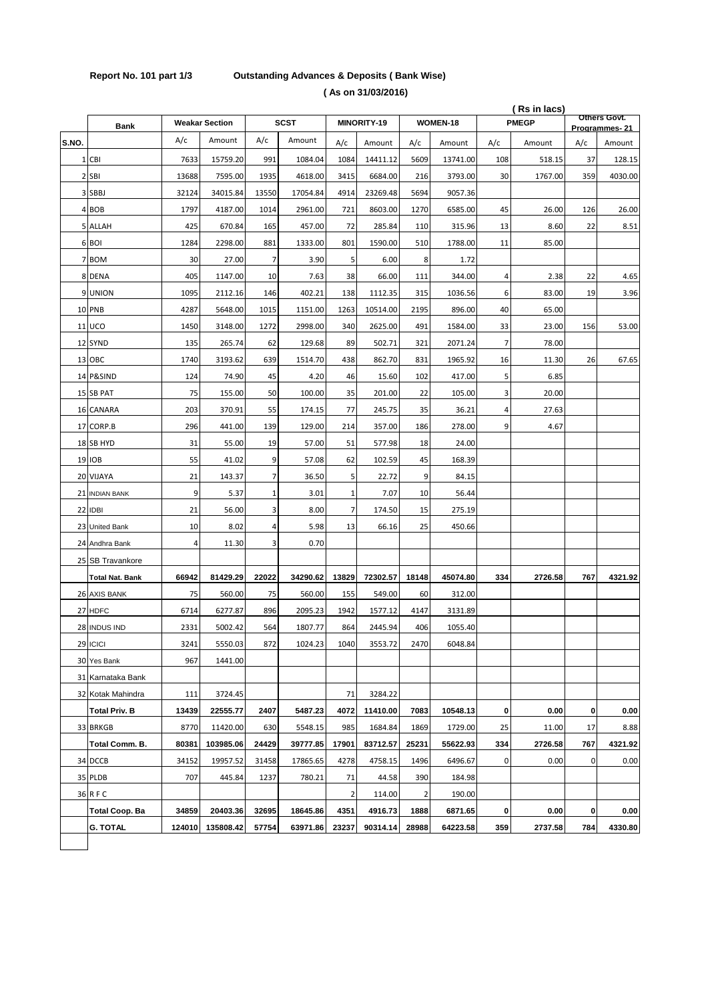## **Report No. 101 part 1/3 Outstanding Advances & Deposits ( Bank Wise) ( As on 31/03/2016)**

|       |                        |        |                       |              |             |                         |             |                         |          |              | (Rs in lacs) |               | Others Govt. |
|-------|------------------------|--------|-----------------------|--------------|-------------|-------------------------|-------------|-------------------------|----------|--------------|--------------|---------------|--------------|
|       | <b>Bank</b>            |        | <b>Weakar Section</b> |              | <b>SCST</b> |                         | MINORITY-19 |                         | WOMEN-18 | <b>PMEGP</b> |              | Programmes-21 |              |
| S.NO. |                        | A/c    | Amount                | A/c          | Amount      | A/c                     | Amount      | A/c                     | Amount   | A/c          | Amount       | A/c           | Amount       |
|       | 1 CBI                  | 7633   | 15759.20              | 991          | 1084.04     | 1084                    | 14411.12    | 5609                    | 13741.00 | 108          | 518.15       | 37            | 128.15       |
|       | 2 SBI                  | 13688  | 7595.00               | 1935         | 4618.00     | 3415                    | 6684.00     | 216                     | 3793.00  | 30           | 1767.00      | 359           | 4030.00      |
|       | 3 SBBJ                 | 32124  | 34015.84              | 13550        | 17054.84    | 4914                    | 23269.48    | 5694                    | 9057.36  |              |              |               |              |
|       | 4 BOB                  | 1797   | 4187.00               | 1014         | 2961.00     | 721                     | 8603.00     | 1270                    | 6585.00  | 45           | 26.00        | 126           | 26.00        |
|       | 5 ALLAH                | 425    | 670.84                | 165          | 457.00      | 72                      | 285.84      | 110                     | 315.96   | 13           | 8.60         | 22            | 8.51         |
|       | 6 BOI                  | 1284   | 2298.00               | 881          | 1333.00     | 801                     | 1590.00     | 510                     | 1788.00  | 11           | 85.00        |               |              |
|       | 7 BOM                  | 30     | 27.00                 | 7            | 3.90        | 5                       | 6.00        | 8                       | 1.72     |              |              |               |              |
|       | 8 DENA                 | 405    | 1147.00               | 10           | 7.63        | 38                      | 66.00       | 111                     | 344.00   | 4            | 2.38         | 22            | 4.65         |
|       | 9 UNION                | 1095   | 2112.16               | 146          | 402.21      | 138                     | 1112.35     | 315                     | 1036.56  | 6            | 83.00        | 19            | 3.96         |
|       | 10 PNB                 | 4287   | 5648.00               | 1015         | 1151.00     | 1263                    | 10514.00    | 2195                    | 896.00   | 40           | 65.00        |               |              |
|       | <b>11 UCO</b>          | 1450   | 3148.00               | 1272         | 2998.00     | 340                     | 2625.00     | 491                     | 1584.00  | 33           | 23.00        | 156           | 53.00        |
|       | 12 SYND                | 135    | 265.74                | 62           | 129.68      | 89                      | 502.71      | 321                     | 2071.24  | 7            | 78.00        |               |              |
|       | 13 OBC                 | 1740   | 3193.62               | 639          | 1514.70     | 438                     | 862.70      | 831                     | 1965.92  | 16           | 11.30        | 26            | 67.65        |
|       | 14 P&SIND              | 124    | 74.90                 | 45           | 4.20        | 46                      | 15.60       | 102                     | 417.00   | 5            | 6.85         |               |              |
|       | 15 SB PAT              | 75     | 155.00                | 50           | 100.00      | 35                      | 201.00      | 22                      | 105.00   | 3            | 20.00        |               |              |
|       | 16 CANARA              | 203    | 370.91                | 55           | 174.15      | 77                      | 245.75      | 35                      | 36.21    | 4            | 27.63        |               |              |
|       | 17 CORP.B              | 296    | 441.00                | 139          | 129.00      | 214                     | 357.00      | 186                     | 278.00   | 9            | 4.67         |               |              |
|       | 18 SB HYD              | 31     | 55.00                 | 19           | 57.00       | 51                      | 577.98      | 18                      | 24.00    |              |              |               |              |
|       | 19 IOB                 | 55     | 41.02                 | 9            | 57.08       | 62                      | 102.59      | 45                      | 168.39   |              |              |               |              |
|       | 20 VIJAYA              | 21     | 143.37                | 7            | 36.50       | 5                       | 22.72       | 9                       | 84.15    |              |              |               |              |
|       | 21 INDIAN BANK         | 9      | 5.37                  | $\mathbf{1}$ | 3.01        | $\mathbf{1}$            | 7.07        | 10                      | 56.44    |              |              |               |              |
|       | 22 IDBI                | 21     | 56.00                 | 3            | 8.00        | 7                       | 174.50      | 15                      | 275.19   |              |              |               |              |
|       | 23 United Bank         | 10     | 8.02                  | 4            | 5.98        | 13                      | 66.16       | 25                      | 450.66   |              |              |               |              |
|       | 24 Andhra Bank         | 4      | 11.30                 | 3            | 0.70        |                         |             |                         |          |              |              |               |              |
|       | 25 SB Travankore       |        |                       |              |             |                         |             |                         |          |              |              |               |              |
|       | <b>Total Nat. Bank</b> | 66942  | 81429.29              | 22022        | 34290.62    | 13829                   | 72302.57    | 18148                   | 45074.80 | 334          | 2726.58      | 767           | 4321.92      |
|       | 26 AXIS BANK           | 75     | 560.00                | 75           | 560.00      | 155                     | 549.00      | 60                      | 312.00   |              |              |               |              |
|       | 27 HDFC                | 6714   | 6277.87               | 896          | 2095.23     | 1942                    | 1577.12     | 4147                    | 3131.89  |              |              |               |              |
|       | 28 INDUS IND           | 2331   | 5002.42               | 564          | 1807.77     | 864                     | 2445.94     | 406                     | 1055.40  |              |              |               |              |
|       | 29 ICICI               | 3241   | 5550.03               | 872          | 1024.23     | 1040                    | 3553.72     | 2470                    | 6048.84  |              |              |               |              |
|       | 30 Yes Bank            | 967    | 1441.00               |              |             |                         |             |                         |          |              |              |               |              |
|       | 31 Karnataka Bank      |        |                       |              |             |                         |             |                         |          |              |              |               |              |
|       | 32 Kotak Mahindra      | 111    | 3724.45               |              |             | 71                      | 3284.22     |                         |          |              |              |               |              |
|       | <b>Total Priv. B</b>   | 13439  | 22555.77              | 2407         | 5487.23     | 4072                    | 11410.00    | 7083                    | 10548.13 | 0            | 0.00         | 0             | 0.00         |
|       | 33 BRKGB               | 8770   | 11420.00              | 630          | 5548.15     | 985                     | 1684.84     | 1869                    | 1729.00  | 25           | 11.00        | 17            | 8.88         |
|       | Total Comm. B.         | 80381  | 103985.06             | 24429        | 39777.85    | 17901                   | 83712.57    | 25231                   | 55622.93 | 334          | 2726.58      | 767           | 4321.92      |
|       | 34 DCCB                | 34152  | 19957.52              | 31458        | 17865.65    | 4278                    | 4758.15     | 1496                    | 6496.67  | 0            | 0.00         | 0             | 0.00         |
|       | 35 PLDB                | 707    | 445.84                | 1237         | 780.21      | 71                      | 44.58       | 390                     | 184.98   |              |              |               |              |
|       | 36 R F C               |        |                       |              |             | $\overline{\mathbf{c}}$ | 114.00      | $\overline{\mathbf{c}}$ | 190.00   |              |              |               |              |
|       | Total Coop. Ba         | 34859  | 20403.36              | 32695        | 18645.86    | 4351                    | 4916.73     | 1888                    | 6871.65  | 0            | 0.00         | 0             | 0.00         |
|       | G. TOTAL               | 124010 | 135808.42             | 57754        | 63971.86    | 23237                   | 90314.14    | 28988                   | 64223.58 | 359          | 2737.58      | 784           | 4330.80      |
|       |                        |        |                       |              |             |                         |             |                         |          |              |              |               |              |